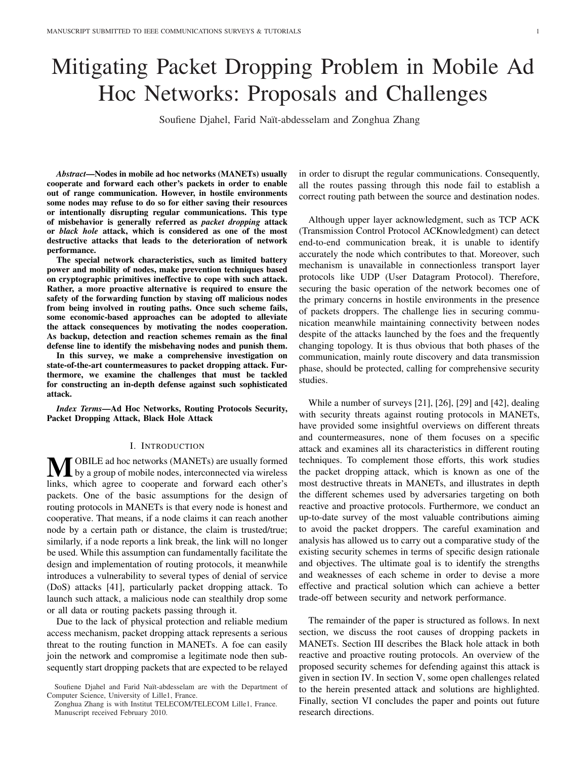# Mitigating Packet Dropping Problem in Mobile Ad Hoc Networks: Proposals and Challenges

Soufiene Djahel, Farid Naït-abdesselam and Zonghua Zhang

*Abstract*—Nodes in mobile ad hoc networks (MANETs) usually cooperate and forward each other's packets in order to enable out of range communication. However, in hostile environments some nodes may refuse to do so for either saving their resources or intentionally disrupting regular communications. This type of misbehavior is generally referred as *packet dropping* attack or *black hole* attack, which is considered as one of the most destructive attacks that leads to the deterioration of network performance.

The special network characteristics, such as limited battery power and mobility of nodes, make prevention techniques based on cryptographic primitives ineffective to cope with such attack. Rather, a more proactive alternative is required to ensure the safety of the forwarding function by staving off malicious nodes from being involved in routing paths. Once such scheme fails, some economic-based approaches can be adopted to alleviate the attack consequences by motivating the nodes cooperation. As backup, detection and reaction schemes remain as the final defense line to identify the misbehaving nodes and punish them.

In this survey, we make a comprehensive investigation on state-of-the-art countermeasures to packet dropping attack. Furthermore, we examine the challenges that must be tackled for constructing an in-depth defense against such sophisticated attack.

*Index Terms*—Ad Hoc Networks, Routing Protocols Security, Packet Dropping Attack, Black Hole Attack

#### I. INTRODUCTION

**TOBILE** ad hoc networks (MANETs) are usually formed by a group of mobile nodes, interconnected via wireless links, which agree to cooperate and forward each other's packets. One of the basic assumptions for the design of routing protocols in MANETs is that every node is honest and cooperative. That means, if a node claims it can reach another node by a certain path or distance, the claim is trusted/true; similarly, if a node reports a link break, the link will no longer be used. While this assumption can fundamentally facilitate the design and implementation of routing protocols, it meanwhile introduces a vulnerability to several types of denial of service (DoS) attacks [41], particularly packet dropping attack. To launch such attack, a malicious node can stealthily drop some or all data or routing packets passing through it.

Due to the lack of physical protection and reliable medium access mechanism, packet dropping attack represents a serious threat to the routing function in MANETs. A foe can easily join the network and compromise a legitimate node then subsequently start dropping packets that are expected to be relayed in order to disrupt the regular communications. Consequently, all the routes passing through this node fail to establish a correct routing path between the source and destination nodes.

Although upper layer acknowledgment, such as TCP ACK (Transmission Control Protocol ACKnowledgment) can detect end-to-end communication break, it is unable to identify accurately the node which contributes to that. Moreover, such mechanism is unavailable in connectionless transport layer protocols like UDP (User Datagram Protocol). Therefore, securing the basic operation of the network becomes one of the primary concerns in hostile environments in the presence of packets droppers. The challenge lies in securing communication meanwhile maintaining connectivity between nodes despite of the attacks launched by the foes and the frequently changing topology. It is thus obvious that both phases of the communication, mainly route discovery and data transmission phase, should be protected, calling for comprehensive security studies.

While a number of surveys [21], [26], [29] and [42], dealing with security threats against routing protocols in MANETs, have provided some insightful overviews on different threats and countermeasures, none of them focuses on a specific attack and examines all its characteristics in different routing techniques. To complement those efforts, this work studies the packet dropping attack, which is known as one of the most destructive threats in MANETs, and illustrates in depth the different schemes used by adversaries targeting on both reactive and proactive protocols. Furthermore, we conduct an up-to-date survey of the most valuable contributions aiming to avoid the packet droppers. The careful examination and analysis has allowed us to carry out a comparative study of the existing security schemes in terms of specific design rationale and objectives. The ultimate goal is to identify the strengths and weaknesses of each scheme in order to devise a more effective and practical solution which can achieve a better trade-off between security and network performance.

The remainder of the paper is structured as follows. In next section, we discuss the root causes of dropping packets in MANETs. Section III describes the Black hole attack in both reactive and proactive routing protocols. An overview of the proposed security schemes for defending against this attack is given in section IV. In section V, some open challenges related to the herein presented attack and solutions are highlighted. Finally, section VI concludes the paper and points out future research directions.

Soufiene Djahel and Farid Naït-abdesselam are with the Department of Computer Science, University of Lille1, France.

Zonghua Zhang is with Institut TELECOM/TELECOM Lille1, France. Manuscript received February 2010.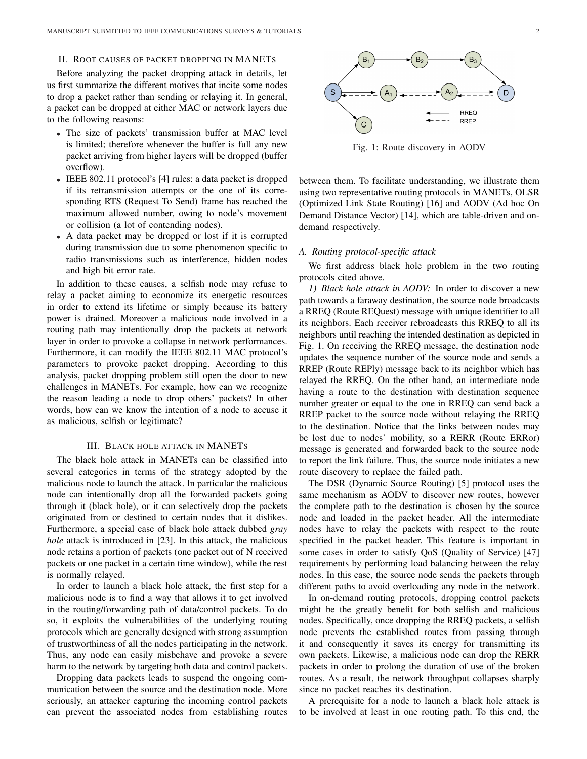### II. ROOT CAUSES OF PACKET DROPPING IN MANETS

Before analyzing the packet dropping attack in details, let us first summarize the different motives that incite some nodes to drop a packet rather than sending or relaying it. In general, a packet can be dropped at either MAC or network layers due to the following reasons:

- The size of packets' transmission buffer at MAC level is limited; therefore whenever the buffer is full any new packet arriving from higher layers will be dropped (buffer overflow).
- IEEE 802.11 protocol's [4] rules: a data packet is dropped if its retransmission attempts or the one of its corresponding RTS (Request To Send) frame has reached the maximum allowed number, owing to node's movement or collision (a lot of contending nodes).
- A data packet may be dropped or lost if it is corrupted during transmission due to some phenomenon specific to radio transmissions such as interference, hidden nodes and high bit error rate.

In addition to these causes, a selfish node may refuse to relay a packet aiming to economize its energetic resources in order to extend its lifetime or simply because its battery power is drained. Moreover a malicious node involved in a routing path may intentionally drop the packets at network layer in order to provoke a collapse in network performances. Furthermore, it can modify the IEEE 802.11 MAC protocol's parameters to provoke packet dropping. According to this analysis, packet dropping problem still open the door to new challenges in MANETs. For example, how can we recognize the reason leading a node to drop others' packets? In other words, how can we know the intention of a node to accuse it as malicious, selfish or legitimate?

# III. BLACK HOLE ATTACK IN MANETS

The black hole attack in MANETs can be classified into several categories in terms of the strategy adopted by the malicious node to launch the attack. In particular the malicious node can intentionally drop all the forwarded packets going through it (black hole), or it can selectively drop the packets originated from or destined to certain nodes that it dislikes. Furthermore, a special case of black hole attack dubbed *gray hole* attack is introduced in [23]. In this attack, the malicious node retains a portion of packets (one packet out of N received packets or one packet in a certain time window), while the rest is normally relayed.

In order to launch a black hole attack, the first step for a malicious node is to find a way that allows it to get involved in the routing/forwarding path of data/control packets. To do so, it exploits the vulnerabilities of the underlying routing protocols which are generally designed with strong assumption of trustworthiness of all the nodes participating in the network. Thus, any node can easily misbehave and provoke a severe harm to the network by targeting both data and control packets.

Dropping data packets leads to suspend the ongoing communication between the source and the destination node. More seriously, an attacker capturing the incoming control packets can prevent the associated nodes from establishing routes



Fig. 1: Route discovery in AODV

between them. To facilitate understanding, we illustrate them using two representative routing protocols in MANETs, OLSR (Optimized Link State Routing) [16] and AODV (Ad hoc On Demand Distance Vector) [14], which are table-driven and ondemand respectively.

# *A. Routing protocol-specific attack*

We first address black hole problem in the two routing protocols cited above.

*1) Black hole attack in AODV:* In order to discover a new path towards a faraway destination, the source node broadcasts a RREQ (Route REQuest) message with unique identifier to all its neighbors. Each receiver rebroadcasts this RREQ to all its neighbors until reaching the intended destination as depicted in Fig. 1. On receiving the RREQ message, the destination node updates the sequence number of the source node and sends a RREP (Route REPly) message back to its neighbor which has relayed the RREQ. On the other hand, an intermediate node having a route to the destination with destination sequence number greater or equal to the one in RREQ can send back a RREP packet to the source node without relaying the RREQ to the destination. Notice that the links between nodes may be lost due to nodes' mobility, so a RERR (Route ERRor) message is generated and forwarded back to the source node to report the link failure. Thus, the source node initiates a new route discovery to replace the failed path.

The DSR (Dynamic Source Routing) [5] protocol uses the same mechanism as AODV to discover new routes, however the complete path to the destination is chosen by the source node and loaded in the packet header. All the intermediate nodes have to relay the packets with respect to the route specified in the packet header. This feature is important in some cases in order to satisfy QoS (Quality of Service) [47] requirements by performing load balancing between the relay nodes. In this case, the source node sends the packets through different paths to avoid overloading any node in the network.

In on-demand routing protocols, dropping control packets might be the greatly benefit for both selfish and malicious nodes. Specifically, once dropping the RREQ packets, a selfish node prevents the established routes from passing through it and consequently it saves its energy for transmitting its own packets. Likewise, a malicious node can drop the RERR packets in order to prolong the duration of use of the broken routes. As a result, the network throughput collapses sharply since no packet reaches its destination.

A prerequisite for a node to launch a black hole attack is to be involved at least in one routing path. To this end, the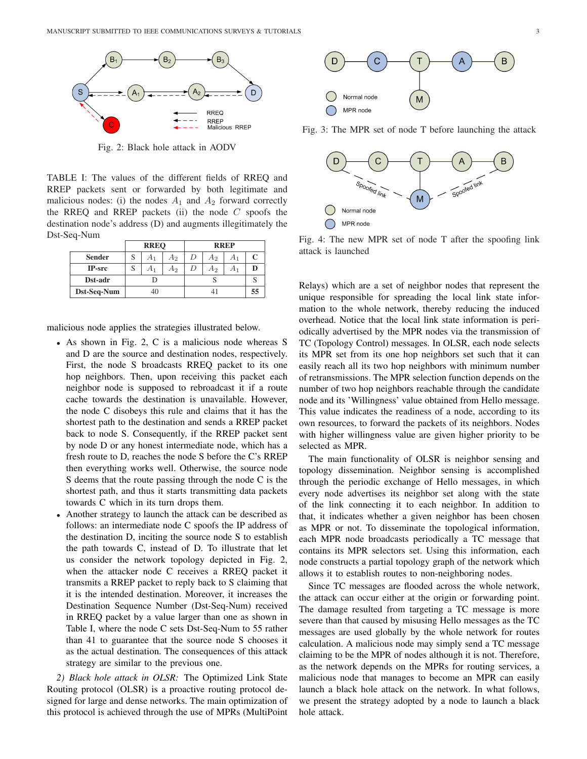

Fig. 2: Black hole attack in AODV

TABLE I: The values of the different fields of RREQ and RREP packets sent or forwarded by both legitimate and malicious nodes: (i) the nodes  $A_1$  and  $A_2$  forward correctly the RREQ and RREP packets (ii) the node  $C$  spoofs the destination node's address (D) and augments illegitimately the Dst-Seq-Num

|               | <b>RREO</b> |       |       | <b>RREP</b> |       |       |  |
|---------------|-------------|-------|-------|-------------|-------|-------|--|
| <b>Sender</b> | S           | $A_1$ | $A_2$ | D           | $A_2$ | $A_1$ |  |
| IP-src        | S           | $A_1$ | $A_2$ | 1)          | $A_2$ |       |  |
| Dst-adr       |             |       |       |             |       |       |  |
| Dst-Seq-Num   | 40          |       |       |             |       |       |  |

malicious node applies the strategies illustrated below.

- As shown in Fig. 2, C is a malicious node whereas S and D are the source and destination nodes, respectively. First, the node S broadcasts RREQ packet to its one hop neighbors. Then, upon receiving this packet each neighbor node is supposed to rebroadcast it if a route cache towards the destination is unavailable. However, the node C disobeys this rule and claims that it has the shortest path to the destination and sends a RREP packet back to node S. Consequently, if the RREP packet sent by node D or any honest intermediate node, which has a fresh route to D, reaches the node S before the C's RREP then everything works well. Otherwise, the source node S deems that the route passing through the node C is the shortest path, and thus it starts transmitting data packets towards C which in its turn drops them.
- Another strategy to launch the attack can be described as follows: an intermediate node C spoofs the IP address of the destination D, inciting the source node S to establish the path towards C, instead of D. To illustrate that let us consider the network topology depicted in Fig. 2, when the attacker node C receives a RREQ packet it transmits a RREP packet to reply back to S claiming that it is the intended destination. Moreover, it increases the Destination Sequence Number (Dst-Seq-Num) received in RREQ packet by a value larger than one as shown in Table I, where the node C sets Dst-Seq-Num to 55 rather than 41 to guarantee that the source node S chooses it as the actual destination. The consequences of this attack strategy are similar to the previous one.

*2) Black hole attack in OLSR:* The Optimized Link State Routing protocol (OLSR) is a proactive routing protocol designed for large and dense networks. The main optimization of this protocol is achieved through the use of MPRs (MultiPoint



Fig. 3: The MPR set of node T before launching the attack



Fig. 4: The new MPR set of node T after the spoofing link attack is launched

Relays) which are a set of neighbor nodes that represent the unique responsible for spreading the local link state information to the whole network, thereby reducing the induced overhead. Notice that the local link state information is periodically advertised by the MPR nodes via the transmission of TC (Topology Control) messages. In OLSR, each node selects its MPR set from its one hop neighbors set such that it can easily reach all its two hop neighbors with minimum number of retransmissions. The MPR selection function depends on the number of two hop neighbors reachable through the candidate node and its 'Willingness' value obtained from Hello message. This value indicates the readiness of a node, according to its own resources, to forward the packets of its neighbors. Nodes with higher willingness value are given higher priority to be selected as MPR.

The main functionality of OLSR is neighbor sensing and topology dissemination. Neighbor sensing is accomplished through the periodic exchange of Hello messages, in which every node advertises its neighbor set along with the state of the link connecting it to each neighbor. In addition to that, it indicates whether a given neighbor has been chosen as MPR or not. To disseminate the topological information, each MPR node broadcasts periodically a TC message that contains its MPR selectors set. Using this information, each node constructs a partial topology graph of the network which allows it to establish routes to non-neighboring nodes.

Since TC messages are flooded across the whole network, the attack can occur either at the origin or forwarding point. The damage resulted from targeting a TC message is more severe than that caused by misusing Hello messages as the TC messages are used globally by the whole network for routes calculation. A malicious node may simply send a TC message claiming to be the MPR of nodes although it is not. Therefore, as the network depends on the MPRs for routing services, a malicious node that manages to become an MPR can easily launch a black hole attack on the network. In what follows, we present the strategy adopted by a node to launch a black hole attack.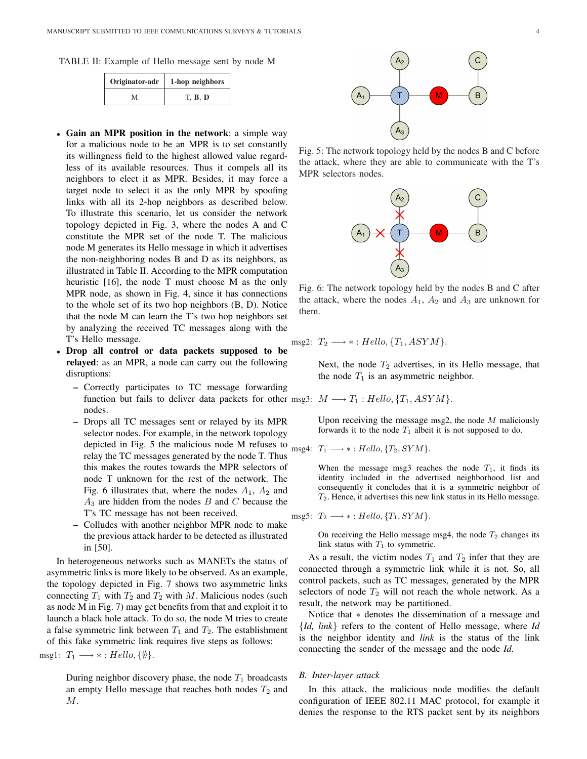TABLE II: Example of Hello message sent by node M

| Originator-adr | 1-hop neighbors |
|----------------|-----------------|
| M              | <b>T. B. D</b>  |

- Gain an MPR position in the network: a simple way for a malicious node to be an MPR is to set constantly its willingness field to the highest allowed value regardless of its available resources. Thus it compels all its neighbors to elect it as MPR. Besides, it may force a target node to select it as the only MPR by spoofing links with all its 2-hop neighbors as described below. To illustrate this scenario, let us consider the network topology depicted in Fig. 3, where the nodes A and C constitute the MPR set of the node T. The malicious node M generates its Hello message in which it advertises the non-neighboring nodes B and D as its neighbors, as illustrated in Table II. According to the MPR computation heuristic [16], the node T must choose M as the only MPR node, as shown in Fig. 4, since it has connections to the whole set of its two hop neighbors (B, D). Notice that the node M can learn the T's two hop neighbors set by analyzing the received TC messages along with the T's Hello message.
- Drop all control or data packets supposed to be relayed: as an MPR, a node can carry out the following disruptions:
	- Correctly participates to TC message forwarding function but fails to deliver data packets for other msg3:  $M \rightarrow T_1$ :  $Hello, \{T_1, ASYM\}$ . nodes.
	- Drops all TC messages sent or relayed by its MPR selector nodes. For example, in the network topology depicted in Fig. 5 the malicious node M refuses to relay the TC messages generated by the node T. Thus this makes the routes towards the MPR selectors of node T unknown for the rest of the network. The Fig. 6 illustrates that, where the nodes  $A_1$ ,  $A_2$  and  $A_3$  are hidden from the nodes  $B$  and  $C$  because the T's TC message has not been received.
	- Colludes with another neighbor MPR node to make the previous attack harder to be detected as illustrated in [50].

In heterogeneous networks such as MANETs the status of asymmetric links is more likely to be observed. As an example, the topology depicted in Fig. 7 shows two asymmetric links connecting  $T_1$  with  $T_2$  and  $T_2$  with M. Malicious nodes (such as node M in Fig. 7) may get benefits from that and exploit it to launch a black hole attack. To do so, the node M tries to create a false symmetric link between  $T_1$  and  $T_2$ . The establishment of this fake symmetric link requires five steps as follows:

msg1:  $T_1 \longrightarrow * : Hello, \{\emptyset\}.$ 

During neighbor discovery phase, the node  $T_1$  broadcasts an empty Hello message that reaches both nodes  $T_2$  and M.

 $A<sub>1</sub>$ 

Fig. 5: The network topology held by the nodes B and C before the attack, where they are able to communicate with the T's MPR selectors nodes.



Fig. 6: The network topology held by the nodes B and C after the attack, where the nodes  $A_1$ ,  $A_2$  and  $A_3$  are unknown for them.

msg2:  $T_2 \longrightarrow * : Hello, \{T_1, ASYM\}.$ 

Next, the node  $T_2$  advertises, in its Hello message, that the node  $T_1$  is an asymmetric neighbor.

Upon receiving the message msg2, the node  $M$  maliciously forwards it to the node  $T_1$  albeit it is not supposed to do.

msg4:  $T_1 \longrightarrow * : Hello, \{T_2, SYM\}.$ 

When the message msg3 reaches the node  $T_1$ , it finds its identity included in the advertised neighborhood list and consequently it concludes that it is a symmetric neighbor of  $T<sub>2</sub>$ . Hence, it advertises this new link status in its Hello message.

msg5: 
$$
T_2 \longrightarrow
$$
  $\longrightarrow$   $\colon$  *Hello*, { $T_1$ , *SYM*}.

On receiving the Hello message msg4, the node  $T_2$  changes its link status with  $T_1$  to symmetric.

As a result, the victim nodes  $T_1$  and  $T_2$  infer that they are connected through a symmetric link while it is not. So, all control packets, such as TC messages, generated by the MPR selectors of node  $T_2$  will not reach the whole network. As a result, the network may be partitioned.

Notice that ∗ denotes the dissemination of a message and {*Id, link*} refers to the content of Hello message, where *Id* is the neighbor identity and *link* is the status of the link connecting the sender of the message and the node *Id*.

#### *B. Inter-layer attack*

In this attack, the malicious node modifies the default configuration of IEEE 802.11 MAC protocol, for example it denies the response to the RTS packet sent by its neighbors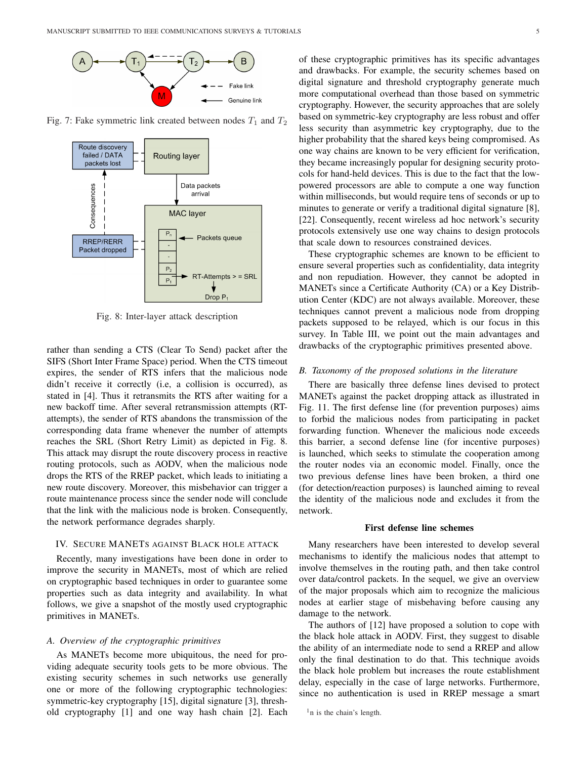

Fig. 7: Fake symmetric link created between nodes  $T_1$  and  $T_2$ 



Fig. 8: Inter-layer attack description

rather than sending a CTS (Clear To Send) packet after the SIFS (Short Inter Frame Space) period. When the CTS timeout expires, the sender of RTS infers that the malicious node didn't receive it correctly (i.e, a collision is occurred), as stated in [4]. Thus it retransmits the RTS after waiting for a new backoff time. After several retransmission attempts (RTattempts), the sender of RTS abandons the transmission of the corresponding data frame whenever the number of attempts reaches the SRL (Short Retry Limit) as depicted in Fig. 8. This attack may disrupt the route discovery process in reactive routing protocols, such as AODV, when the malicious node drops the RTS of the RREP packet, which leads to initiating a new route discovery. Moreover, this misbehavior can trigger a route maintenance process since the sender node will conclude that the link with the malicious node is broken. Consequently, the network performance degrades sharply.

# IV. SECURE MANETS AGAINST BLACK HOLE ATTACK

Recently, many investigations have been done in order to improve the security in MANETs, most of which are relied on cryptographic based techniques in order to guarantee some properties such as data integrity and availability. In what follows, we give a snapshot of the mostly used cryptographic primitives in MANETs.

### *A. Overview of the cryptographic primitives*

As MANETs become more ubiquitous, the need for providing adequate security tools gets to be more obvious. The existing security schemes in such networks use generally one or more of the following cryptographic technologies: symmetric-key cryptography [15], digital signature [3], threshold cryptography [1] and one way hash chain [2]. Each of these cryptographic primitives has its specific advantages and drawbacks. For example, the security schemes based on digital signature and threshold cryptography generate much more computational overhead than those based on symmetric cryptography. However, the security approaches that are solely based on symmetric-key cryptography are less robust and offer less security than asymmetric key cryptography, due to the higher probability that the shared keys being compromised. As one way chains are known to be very efficient for verification, they became increasingly popular for designing security protocols for hand-held devices. This is due to the fact that the lowpowered processors are able to compute a one way function within milliseconds, but would require tens of seconds or up to minutes to generate or verify a traditional digital signature [8], [22]. Consequently, recent wireless ad hoc network's security protocols extensively use one way chains to design protocols that scale down to resources constrained devices.

These cryptographic schemes are known to be efficient to ensure several properties such as confidentiality, data integrity and non repudiation. However, they cannot be adopted in MANETs since a Certificate Authority (CA) or a Key Distribution Center (KDC) are not always available. Moreover, these techniques cannot prevent a malicious node from dropping packets supposed to be relayed, which is our focus in this survey. In Table III, we point out the main advantages and drawbacks of the cryptographic primitives presented above.

#### *B. Taxonomy of the proposed solutions in the literature*

There are basically three defense lines devised to protect MANETs against the packet dropping attack as illustrated in Fig. 11. The first defense line (for prevention purposes) aims to forbid the malicious nodes from participating in packet forwarding function. Whenever the malicious node exceeds this barrier, a second defense line (for incentive purposes) is launched, which seeks to stimulate the cooperation among the router nodes via an economic model. Finally, once the two previous defense lines have been broken, a third one (for detection/reaction purposes) is launched aiming to reveal the identity of the malicious node and excludes it from the network.

#### First defense line schemes

Many researchers have been interested to develop several mechanisms to identify the malicious nodes that attempt to involve themselves in the routing path, and then take control over data/control packets. In the sequel, we give an overview of the major proposals which aim to recognize the malicious nodes at earlier stage of misbehaving before causing any damage to the network.

The authors of [12] have proposed a solution to cope with the black hole attack in AODV. First, they suggest to disable the ability of an intermediate node to send a RREP and allow only the final destination to do that. This technique avoids the black hole problem but increases the route establishment delay, especially in the case of large networks. Furthermore, since no authentication is used in RREP message a smart

 $<sup>1</sup>$ n is the chain's length.</sup>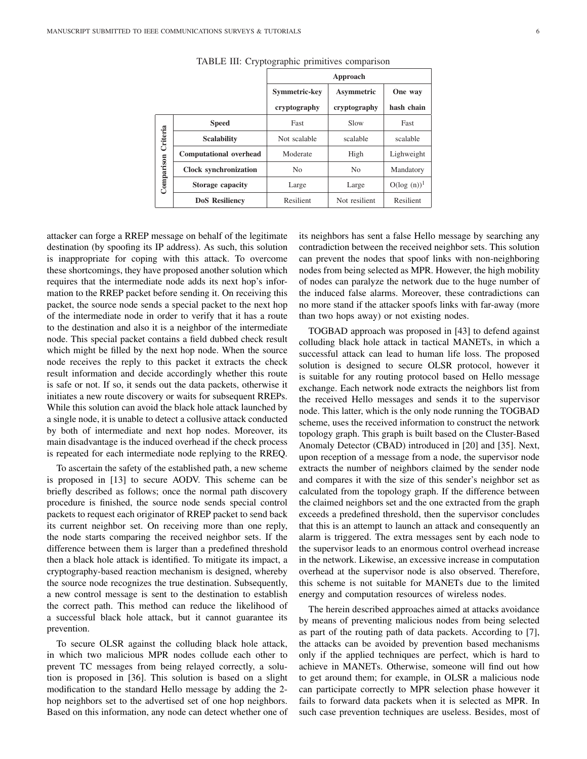Comparison Criteria

Comparison Criteria

| TADLE III. Cryptographic primitives comparison |                                        |                |                |  |  |  |
|------------------------------------------------|----------------------------------------|----------------|----------------|--|--|--|
|                                                | Approach                               |                |                |  |  |  |
|                                                | Symmetric-key<br>Asymmetric<br>One way |                |                |  |  |  |
|                                                | cryptography                           | cryptography   | hash chain     |  |  |  |
| <b>Speed</b>                                   | Fast                                   | Slow           | Fast           |  |  |  |
| <b>Scalability</b>                             | Not scalable                           | scalable       | scalable       |  |  |  |
| <b>Computational overhead</b>                  | Moderate                               | High           | Lighweight     |  |  |  |
| <b>Clock synchronization</b>                   | N <sub>0</sub>                         | N <sub>0</sub> | Mandatory      |  |  |  |
| Storage capacity                               | Large<br>Large                         |                | $O(log (n))^1$ |  |  |  |
| <b>DoS Resiliency</b>                          | Resilient<br>Not resilient             |                | Resilient      |  |  |  |

TABLE III: Cryptographic primitives comparison

attacker can forge a RREP message on behalf of the legitimate destination (by spoofing its IP address). As such, this solution is inappropriate for coping with this attack. To overcome these shortcomings, they have proposed another solution which requires that the intermediate node adds its next hop's information to the RREP packet before sending it. On receiving this packet, the source node sends a special packet to the next hop of the intermediate node in order to verify that it has a route to the destination and also it is a neighbor of the intermediate node. This special packet contains a field dubbed check result which might be filled by the next hop node. When the source node receives the reply to this packet it extracts the check result information and decide accordingly whether this route is safe or not. If so, it sends out the data packets, otherwise it initiates a new route discovery or waits for subsequent RREPs. While this solution can avoid the black hole attack launched by a single node, it is unable to detect a collusive attack conducted by both of intermediate and next hop nodes. Moreover, its main disadvantage is the induced overhead if the check process is repeated for each intermediate node replying to the RREQ.

To ascertain the safety of the established path, a new scheme is proposed in [13] to secure AODV. This scheme can be briefly described as follows; once the normal path discovery procedure is finished, the source node sends special control packets to request each originator of RREP packet to send back its current neighbor set. On receiving more than one reply, the node starts comparing the received neighbor sets. If the difference between them is larger than a predefined threshold then a black hole attack is identified. To mitigate its impact, a cryptography-based reaction mechanism is designed, whereby the source node recognizes the true destination. Subsequently, a new control message is sent to the destination to establish the correct path. This method can reduce the likelihood of a successful black hole attack, but it cannot guarantee its prevention.

To secure OLSR against the colluding black hole attack, in which two malicious MPR nodes collude each other to prevent TC messages from being relayed correctly, a solution is proposed in [36]. This solution is based on a slight modification to the standard Hello message by adding the 2 hop neighbors set to the advertised set of one hop neighbors. Based on this information, any node can detect whether one of its neighbors has sent a false Hello message by searching any contradiction between the received neighbor sets. This solution can prevent the nodes that spoof links with non-neighboring nodes from being selected as MPR. However, the high mobility of nodes can paralyze the network due to the huge number of the induced false alarms. Moreover, these contradictions can no more stand if the attacker spoofs links with far-away (more than two hops away) or not existing nodes.

TOGBAD approach was proposed in [43] to defend against colluding black hole attack in tactical MANETs, in which a successful attack can lead to human life loss. The proposed solution is designed to secure OLSR protocol, however it is suitable for any routing protocol based on Hello message exchange. Each network node extracts the neighbors list from the received Hello messages and sends it to the supervisor node. This latter, which is the only node running the TOGBAD scheme, uses the received information to construct the network topology graph. This graph is built based on the Cluster-Based Anomaly Detector (CBAD) introduced in [20] and [35]. Next, upon reception of a message from a node, the supervisor node extracts the number of neighbors claimed by the sender node and compares it with the size of this sender's neighbor set as calculated from the topology graph. If the difference between the claimed neighbors set and the one extracted from the graph exceeds a predefined threshold, then the supervisor concludes that this is an attempt to launch an attack and consequently an alarm is triggered. The extra messages sent by each node to the supervisor leads to an enormous control overhead increase in the network. Likewise, an excessive increase in computation overhead at the supervisor node is also observed. Therefore, this scheme is not suitable for MANETs due to the limited energy and computation resources of wireless nodes.

The herein described approaches aimed at attacks avoidance by means of preventing malicious nodes from being selected as part of the routing path of data packets. According to [7], the attacks can be avoided by prevention based mechanisms only if the applied techniques are perfect, which is hard to achieve in MANETs. Otherwise, someone will find out how to get around them; for example, in OLSR a malicious node can participate correctly to MPR selection phase however it fails to forward data packets when it is selected as MPR. In such case prevention techniques are useless. Besides, most of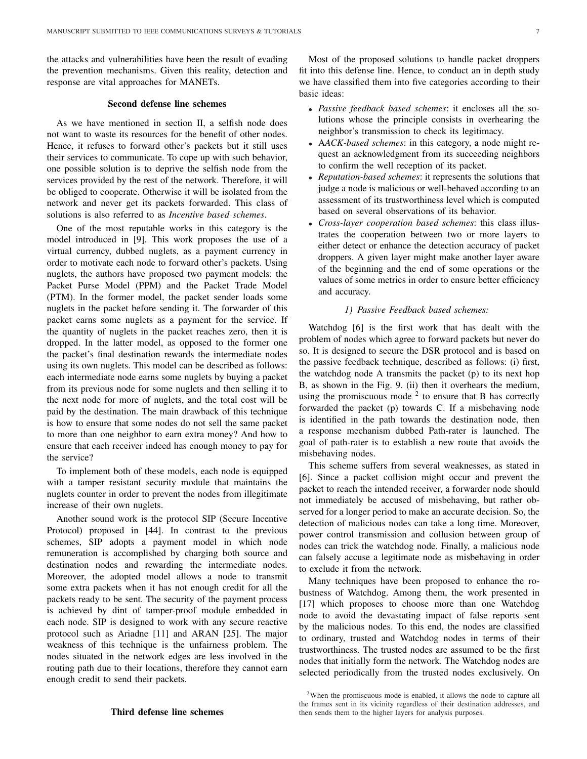the attacks and vulnerabilities have been the result of evading the prevention mechanisms. Given this reality, detection and response are vital approaches for MANETs.

# Second defense line schemes

As we have mentioned in section II, a selfish node does not want to waste its resources for the benefit of other nodes. Hence, it refuses to forward other's packets but it still uses their services to communicate. To cope up with such behavior, one possible solution is to deprive the selfish node from the services provided by the rest of the network. Therefore, it will be obliged to cooperate. Otherwise it will be isolated from the network and never get its packets forwarded. This class of solutions is also referred to as *Incentive based schemes*.

One of the most reputable works in this category is the model introduced in [9]. This work proposes the use of a virtual currency, dubbed nuglets, as a payment currency in order to motivate each node to forward other's packets. Using nuglets, the authors have proposed two payment models: the Packet Purse Model (PPM) and the Packet Trade Model (PTM). In the former model, the packet sender loads some nuglets in the packet before sending it. The forwarder of this packet earns some nuglets as a payment for the service. If the quantity of nuglets in the packet reaches zero, then it is dropped. In the latter model, as opposed to the former one the packet's final destination rewards the intermediate nodes using its own nuglets. This model can be described as follows: each intermediate node earns some nuglets by buying a packet from its previous node for some nuglets and then selling it to the next node for more of nuglets, and the total cost will be paid by the destination. The main drawback of this technique is how to ensure that some nodes do not sell the same packet to more than one neighbor to earn extra money? And how to ensure that each receiver indeed has enough money to pay for the service?

To implement both of these models, each node is equipped with a tamper resistant security module that maintains the nuglets counter in order to prevent the nodes from illegitimate increase of their own nuglets.

Another sound work is the protocol SIP (Secure Incentive Protocol) proposed in [44]. In contrast to the previous schemes, SIP adopts a payment model in which node remuneration is accomplished by charging both source and destination nodes and rewarding the intermediate nodes. Moreover, the adopted model allows a node to transmit some extra packets when it has not enough credit for all the packets ready to be sent. The security of the payment process is achieved by dint of tamper-proof module embedded in each node. SIP is designed to work with any secure reactive protocol such as Ariadne [11] and ARAN [25]. The major weakness of this technique is the unfairness problem. The nodes situated in the network edges are less involved in the routing path due to their locations, therefore they cannot earn enough credit to send their packets.

Most of the proposed solutions to handle packet droppers fit into this defense line. Hence, to conduct an in depth study we have classified them into five categories according to their basic ideas:

- *Passive feedback based schemes*: it encloses all the solutions whose the principle consists in overhearing the neighbor's transmission to check its legitimacy.
- A*ACK-based schemes*: in this category, a node might request an acknowledgment from its succeeding neighbors to confirm the well reception of its packet.
- *Reputation-based schemes*: it represents the solutions that judge a node is malicious or well-behaved according to an assessment of its trustworthiness level which is computed based on several observations of its behavior.
- *Cross-layer cooperation based schemes*: this class illustrates the cooperation between two or more layers to either detect or enhance the detection accuracy of packet droppers. A given layer might make another layer aware of the beginning and the end of some operations or the values of some metrics in order to ensure better efficiency and accuracy.

#### *1) Passive Feedback based schemes:*

Watchdog [6] is the first work that has dealt with the problem of nodes which agree to forward packets but never do so. It is designed to secure the DSR protocol and is based on the passive feedback technique, described as follows: (i) first, the watchdog node A transmits the packet (p) to its next hop B, as shown in the Fig. 9. (ii) then it overhears the medium, using the promiscuous mode  $2$  to ensure that B has correctly forwarded the packet (p) towards C. If a misbehaving node is identified in the path towards the destination node, then a response mechanism dubbed Path-rater is launched. The goal of path-rater is to establish a new route that avoids the misbehaving nodes.

This scheme suffers from several weaknesses, as stated in [6]. Since a packet collision might occur and prevent the packet to reach the intended receiver, a forwarder node should not immediately be accused of misbehaving, but rather observed for a longer period to make an accurate decision. So, the detection of malicious nodes can take a long time. Moreover, power control transmission and collusion between group of nodes can trick the watchdog node. Finally, a malicious node can falsely accuse a legitimate node as misbehaving in order to exclude it from the network.

Many techniques have been proposed to enhance the robustness of Watchdog. Among them, the work presented in [17] which proposes to choose more than one Watchdog node to avoid the devastating impact of false reports sent by the malicious nodes. To this end, the nodes are classified to ordinary, trusted and Watchdog nodes in terms of their trustworthiness. The trusted nodes are assumed to be the first nodes that initially form the network. The Watchdog nodes are selected periodically from the trusted nodes exclusively. On

# Third defense line schemes

<sup>&</sup>lt;sup>2</sup>When the promiscuous mode is enabled, it allows the node to capture all the frames sent in its vicinity regardless of their destination addresses, and then sends them to the higher layers for analysis purposes.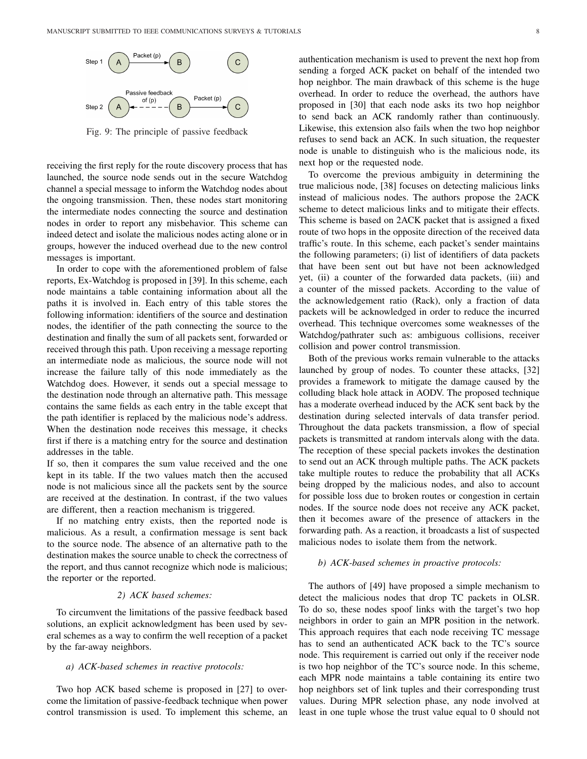

Fig. 9: The principle of passive feedback

receiving the first reply for the route discovery process that has launched, the source node sends out in the secure Watchdog channel a special message to inform the Watchdog nodes about the ongoing transmission. Then, these nodes start monitoring the intermediate nodes connecting the source and destination nodes in order to report any misbehavior. This scheme can indeed detect and isolate the malicious nodes acting alone or in groups, however the induced overhead due to the new control messages is important.

In order to cope with the aforementioned problem of false reports, Ex-Watchdog is proposed in [39]. In this scheme, each node maintains a table containing information about all the paths it is involved in. Each entry of this table stores the following information: identifiers of the source and destination nodes, the identifier of the path connecting the source to the destination and finally the sum of all packets sent, forwarded or received through this path. Upon receiving a message reporting an intermediate node as malicious, the source node will not increase the failure tally of this node immediately as the Watchdog does. However, it sends out a special message to the destination node through an alternative path. This message contains the same fields as each entry in the table except that the path identifier is replaced by the malicious node's address. When the destination node receives this message, it checks first if there is a matching entry for the source and destination addresses in the table.

If so, then it compares the sum value received and the one kept in its table. If the two values match then the accused node is not malicious since all the packets sent by the source are received at the destination. In contrast, if the two values are different, then a reaction mechanism is triggered.

If no matching entry exists, then the reported node is malicious. As a result, a confirmation message is sent back to the source node. The absence of an alternative path to the destination makes the source unable to check the correctness of the report, and thus cannot recognize which node is malicious; the reporter or the reported.

# *2) ACK based schemes:*

To circumvent the limitations of the passive feedback based solutions, an explicit acknowledgment has been used by several schemes as a way to confirm the well reception of a packet by the far-away neighbors.

### *a) ACK-based schemes in reactive protocols:*

Two hop ACK based scheme is proposed in [27] to overcome the limitation of passive-feedback technique when power control transmission is used. To implement this scheme, an authentication mechanism is used to prevent the next hop from sending a forged ACK packet on behalf of the intended two hop neighbor. The main drawback of this scheme is the huge overhead. In order to reduce the overhead, the authors have proposed in [30] that each node asks its two hop neighbor to send back an ACK randomly rather than continuously. Likewise, this extension also fails when the two hop neighbor refuses to send back an ACK. In such situation, the requester node is unable to distinguish who is the malicious node, its next hop or the requested node.

To overcome the previous ambiguity in determining the true malicious node, [38] focuses on detecting malicious links instead of malicious nodes. The authors propose the 2ACK scheme to detect malicious links and to mitigate their effects. This scheme is based on 2ACK packet that is assigned a fixed route of two hops in the opposite direction of the received data traffic's route. In this scheme, each packet's sender maintains the following parameters; (i) list of identifiers of data packets that have been sent out but have not been acknowledged yet, (ii) a counter of the forwarded data packets, (iii) and a counter of the missed packets. According to the value of the acknowledgement ratio (Rack), only a fraction of data packets will be acknowledged in order to reduce the incurred overhead. This technique overcomes some weaknesses of the Watchdog/pathrater such as: ambiguous collisions, receiver collision and power control transmission.

Both of the previous works remain vulnerable to the attacks launched by group of nodes. To counter these attacks, [32] provides a framework to mitigate the damage caused by the colluding black hole attack in AODV. The proposed technique has a moderate overhead induced by the ACK sent back by the destination during selected intervals of data transfer period. Throughout the data packets transmission, a flow of special packets is transmitted at random intervals along with the data. The reception of these special packets invokes the destination to send out an ACK through multiple paths. The ACK packets take multiple routes to reduce the probability that all ACKs being dropped by the malicious nodes, and also to account for possible loss due to broken routes or congestion in certain nodes. If the source node does not receive any ACK packet, then it becomes aware of the presence of attackers in the forwarding path. As a reaction, it broadcasts a list of suspected malicious nodes to isolate them from the network.

# *b) ACK-based schemes in proactive protocols:*

The authors of [49] have proposed a simple mechanism to detect the malicious nodes that drop TC packets in OLSR. To do so, these nodes spoof links with the target's two hop neighbors in order to gain an MPR position in the network. This approach requires that each node receiving TC message has to send an authenticated ACK back to the TC's source node. This requirement is carried out only if the receiver node is two hop neighbor of the TC's source node. In this scheme, each MPR node maintains a table containing its entire two hop neighbors set of link tuples and their corresponding trust values. During MPR selection phase, any node involved at least in one tuple whose the trust value equal to 0 should not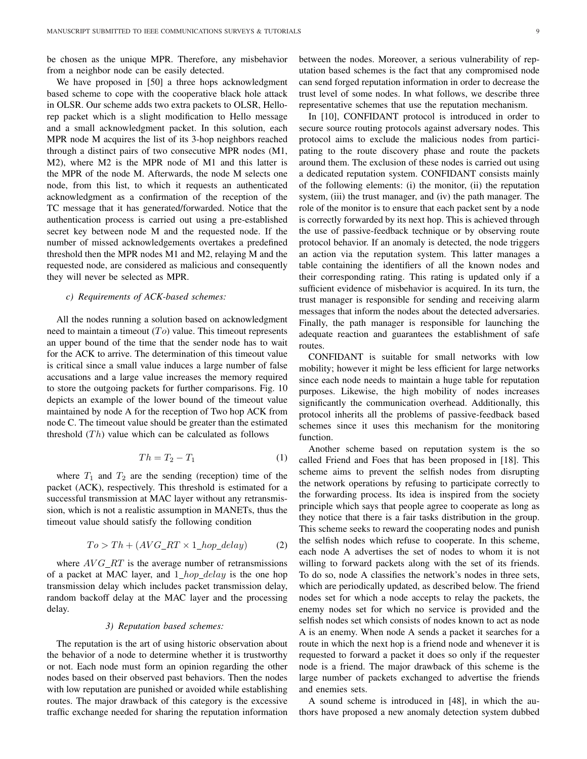be chosen as the unique MPR. Therefore, any misbehavior from a neighbor node can be easily detected.

We have proposed in [50] a three hops acknowledgment based scheme to cope with the cooperative black hole attack in OLSR. Our scheme adds two extra packets to OLSR, Hellorep packet which is a slight modification to Hello message and a small acknowledgment packet. In this solution, each MPR node M acquires the list of its 3-hop neighbors reached through a distinct pairs of two consecutive MPR nodes (M1, M2), where M2 is the MPR node of M1 and this latter is the MPR of the node M. Afterwards, the node M selects one node, from this list, to which it requests an authenticated acknowledgment as a confirmation of the reception of the TC message that it has generated/forwarded. Notice that the authentication process is carried out using a pre-established secret key between node M and the requested node. If the number of missed acknowledgements overtakes a predefined threshold then the MPR nodes M1 and M2, relaying M and the requested node, are considered as malicious and consequently they will never be selected as MPR.

#### *c) Requirements of ACK-based schemes:*

All the nodes running a solution based on acknowledgment need to maintain a timeout  $(T<sub>O</sub>)$  value. This timeout represents an upper bound of the time that the sender node has to wait for the ACK to arrive. The determination of this timeout value is critical since a small value induces a large number of false accusations and a large value increases the memory required to store the outgoing packets for further comparisons. Fig. 10 depicts an example of the lower bound of the timeout value maintained by node A for the reception of Two hop ACK from node C. The timeout value should be greater than the estimated threshold  $(Th)$  value which can be calculated as follows

$$
Th = T_2 - T_1 \tag{1}
$$

where  $T_1$  and  $T_2$  are the sending (reception) time of the packet (ACK), respectively. This threshold is estimated for a successful transmission at MAC layer without any retransmission, which is not a realistic assumption in MANETs, thus the timeout value should satisfy the following condition

$$
To > Th + (AVG\_RT \times 1\_hop\_delay) \tag{2}
$$

where  $AVG\_RT$  is the average number of retransmissions of a packet at MAC layer, and  $1 \text{\_hop\_delay}$  is the one hop transmission delay which includes packet transmission delay, random backoff delay at the MAC layer and the processing delay.

## *3) Reputation based schemes:*

The reputation is the art of using historic observation about the behavior of a node to determine whether it is trustworthy or not. Each node must form an opinion regarding the other nodes based on their observed past behaviors. Then the nodes with low reputation are punished or avoided while establishing routes. The major drawback of this category is the excessive traffic exchange needed for sharing the reputation information

between the nodes. Moreover, a serious vulnerability of reputation based schemes is the fact that any compromised node can send forged reputation information in order to decrease the trust level of some nodes. In what follows, we describe three representative schemes that use the reputation mechanism.

In [10], CONFIDANT protocol is introduced in order to secure source routing protocols against adversary nodes. This protocol aims to exclude the malicious nodes from participating to the route discovery phase and route the packets around them. The exclusion of these nodes is carried out using a dedicated reputation system. CONFIDANT consists mainly of the following elements: (i) the monitor, (ii) the reputation system, (iii) the trust manager, and (iv) the path manager. The role of the monitor is to ensure that each packet sent by a node is correctly forwarded by its next hop. This is achieved through the use of passive-feedback technique or by observing route protocol behavior. If an anomaly is detected, the node triggers an action via the reputation system. This latter manages a table containing the identifiers of all the known nodes and their corresponding rating. This rating is updated only if a sufficient evidence of misbehavior is acquired. In its turn, the trust manager is responsible for sending and receiving alarm messages that inform the nodes about the detected adversaries. Finally, the path manager is responsible for launching the adequate reaction and guarantees the establishment of safe routes.

CONFIDANT is suitable for small networks with low mobility; however it might be less efficient for large networks since each node needs to maintain a huge table for reputation purposes. Likewise, the high mobility of nodes increases significantly the communication overhead. Additionally, this protocol inherits all the problems of passive-feedback based schemes since it uses this mechanism for the monitoring function.

Another scheme based on reputation system is the so called Friend and Foes that has been proposed in [18]. This scheme aims to prevent the selfish nodes from disrupting the network operations by refusing to participate correctly to the forwarding process. Its idea is inspired from the society principle which says that people agree to cooperate as long as they notice that there is a fair tasks distribution in the group. This scheme seeks to reward the cooperating nodes and punish the selfish nodes which refuse to cooperate. In this scheme, each node A advertises the set of nodes to whom it is not willing to forward packets along with the set of its friends. To do so, node A classifies the network's nodes in three sets, which are periodically updated, as described below. The friend nodes set for which a node accepts to relay the packets, the enemy nodes set for which no service is provided and the selfish nodes set which consists of nodes known to act as node A is an enemy. When node A sends a packet it searches for a route in which the next hop is a friend node and whenever it is requested to forward a packet it does so only if the requester node is a friend. The major drawback of this scheme is the large number of packets exchanged to advertise the friends and enemies sets.

A sound scheme is introduced in [48], in which the authors have proposed a new anomaly detection system dubbed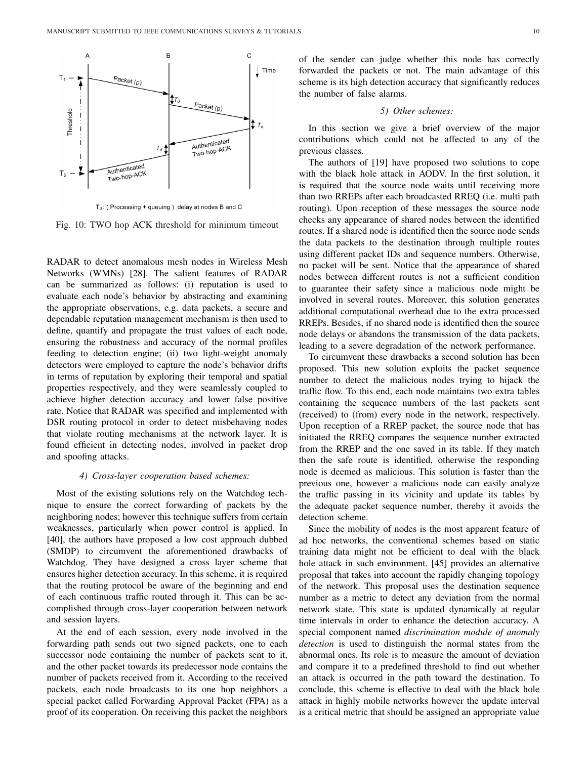

 $T_d$ : (Processing + queuing) delay at nodes B and C

Fig. 10: TWO hop ACK threshold for minimum timeout

RADAR to detect anomalous mesh nodes in Wireless Mesh Networks (WMNs) [28]. The salient features of RADAR can be summarized as follows: (i) reputation is used to evaluate each node's behavior by abstracting and examining the appropriate observations, e.g. data packets, a secure and dependable reputation management mechanism is then used to define, quantify and propagate the trust values of each node, ensuring the robustness and accuracy of the normal profiles feeding to detection engine; (ii) two light-weight anomaly detectors were employed to capture the node's behavior drifts in terms of reputation by exploring their temporal and spatial properties respectively, and they were seamlessly coupled to achieve higher detection accuracy and lower false positive rate. Notice that RADAR was specified and implemented with DSR routing protocol in order to detect misbehaving nodes that violate routing mechanisms at the network layer. It is found efficient in detecting nodes, involved in packet drop and spoofing attacks.

# *4) Cross-layer cooperation based schemes:*

Most of the existing solutions rely on the Watchdog technique to ensure the correct forwarding of packets by the neighboring nodes; however this technique suffers from certain weaknesses, particularly when power control is applied. In [40], the authors have proposed a low cost approach dubbed (SMDP) to circumvent the aforementioned drawbacks of Watchdog. They have designed a cross layer scheme that ensures higher detection accuracy. In this scheme, it is required that the routing protocol be aware of the beginning and end of each continuous traffic routed through it. This can be accomplished through cross-layer cooperation between network and session layers.

At the end of each session, every node involved in the forwarding path sends out two signed packets, one to each successor node containing the number of packets sent to it, and the other packet towards its predecessor node contains the number of packets received from it. According to the received packets, each node broadcasts to its one hop neighbors a special packet called Forwarding Approval Packet (FPA) as a proof of its cooperation. On receiving this packet the neighbors

of the sender can judge whether this node has correctly forwarded the packets or not. The main advantage of this scheme is its high detection accuracy that significantly reduces the number of false alarms.

# *5) Other schemes:*

In this section we give a brief overview of the major contributions which could not be affected to any of the previous classes.

The authors of [19] have proposed two solutions to cope with the black hole attack in AODV. In the first solution, it is required that the source node waits until receiving more than two RREPs after each broadcasted RREQ (i.e. multi path routing). Upon reception of these messages the source node checks any appearance of shared nodes between the identified routes. If a shared node is identified then the source node sends the data packets to the destination through multiple routes using different packet IDs and sequence numbers. Otherwise, no packet will be sent. Notice that the appearance of shared nodes between different routes is not a sufficient condition to guarantee their safety since a malicious node might be involved in several routes. Moreover, this solution generates additional computational overhead due to the extra processed RREPs. Besides, if no shared node is identified then the source node delays or abandons the transmission of the data packets, leading to a severe degradation of the network performance.

To circumvent these drawbacks a second solution has been proposed. This new solution exploits the packet sequence number to detect the malicious nodes trying to hijack the traffic flow. To this end, each node maintains two extra tables containing the sequence numbers of the last packets sent (received) to (from) every node in the network, respectively. Upon reception of a RREP packet, the source node that has initiated the RREQ compares the sequence number extracted from the RREP and the one saved in its table. If they match then the safe route is identified, otherwise the responding node is deemed as malicious. This solution is faster than the previous one, however a malicious node can easily analyze the traffic passing in its vicinity and update its tables by the adequate packet sequence number, thereby it avoids the detection scheme.

Since the mobility of nodes is the most apparent feature of ad hoc networks, the conventional schemes based on static training data might not be efficient to deal with the black hole attack in such environment. [45] provides an alternative proposal that takes into account the rapidly changing topology of the network. This proposal uses the destination sequence number as a metric to detect any deviation from the normal network state. This state is updated dynamically at regular time intervals in order to enhance the detection accuracy. A special component named *discrimination module of anomaly detection* is used to distinguish the normal states from the abnormal ones. Its role is to measure the amount of deviation and compare it to a predefined threshold to find out whether an attack is occurred in the path toward the destination. To conclude, this scheme is effective to deal with the black hole attack in highly mobile networks however the update interval is a critical metric that should be assigned an appropriate value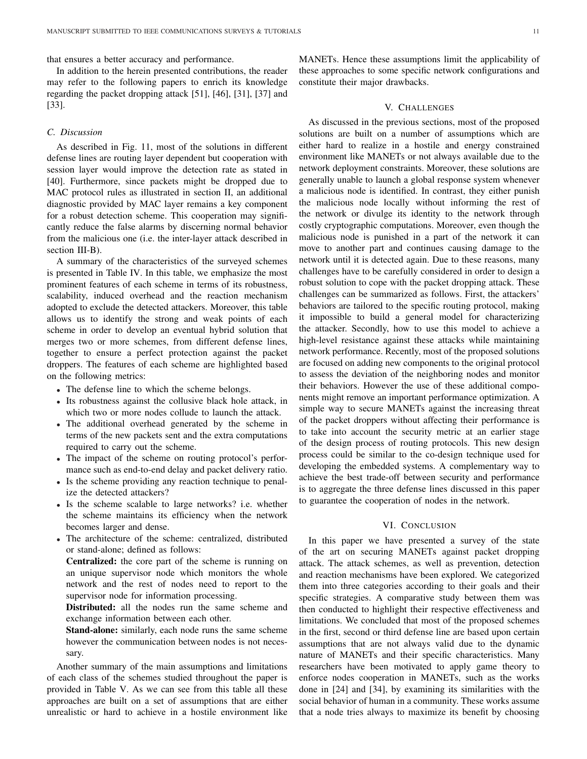that ensures a better accuracy and performance.

In addition to the herein presented contributions, the reader may refer to the following papers to enrich its knowledge regarding the packet dropping attack [51], [46], [31], [37] and [33].

# *C. Discussion*

As described in Fig. 11, most of the solutions in different defense lines are routing layer dependent but cooperation with session layer would improve the detection rate as stated in [40]. Furthermore, since packets might be dropped due to MAC protocol rules as illustrated in section II, an additional diagnostic provided by MAC layer remains a key component for a robust detection scheme. This cooperation may significantly reduce the false alarms by discerning normal behavior from the malicious one (i.e. the inter-layer attack described in section III-B).

A summary of the characteristics of the surveyed schemes is presented in Table IV. In this table, we emphasize the most prominent features of each scheme in terms of its robustness, scalability, induced overhead and the reaction mechanism adopted to exclude the detected attackers. Moreover, this table allows us to identify the strong and weak points of each scheme in order to develop an eventual hybrid solution that merges two or more schemes, from different defense lines, together to ensure a perfect protection against the packet droppers. The features of each scheme are highlighted based on the following metrics:

- The defense line to which the scheme belongs.
- Its robustness against the collusive black hole attack, in which two or more nodes collude to launch the attack.
- The additional overhead generated by the scheme in terms of the new packets sent and the extra computations required to carry out the scheme.
- The impact of the scheme on routing protocol's performance such as end-to-end delay and packet delivery ratio.
- Is the scheme providing any reaction technique to penalize the detected attackers?
- Is the scheme scalable to large networks? i.e. whether the scheme maintains its efficiency when the network becomes larger and dense.
- The architecture of the scheme: centralized, distributed or stand-alone; defined as follows:

Centralized: the core part of the scheme is running on an unique supervisor node which monitors the whole network and the rest of nodes need to report to the supervisor node for information processing.

Distributed: all the nodes run the same scheme and exchange information between each other.

Stand-alone: similarly, each node runs the same scheme however the communication between nodes is not necessary.

Another summary of the main assumptions and limitations of each class of the schemes studied throughout the paper is provided in Table V. As we can see from this table all these approaches are built on a set of assumptions that are either unrealistic or hard to achieve in a hostile environment like MANETs. Hence these assumptions limit the applicability of these approaches to some specific network configurations and constitute their major drawbacks.

#### V. CHALLENGES

As discussed in the previous sections, most of the proposed solutions are built on a number of assumptions which are either hard to realize in a hostile and energy constrained environment like MANETs or not always available due to the network deployment constraints. Moreover, these solutions are generally unable to launch a global response system whenever a malicious node is identified. In contrast, they either punish the malicious node locally without informing the rest of the network or divulge its identity to the network through costly cryptographic computations. Moreover, even though the malicious node is punished in a part of the network it can move to another part and continues causing damage to the network until it is detected again. Due to these reasons, many challenges have to be carefully considered in order to design a robust solution to cope with the packet dropping attack. These challenges can be summarized as follows. First, the attackers' behaviors are tailored to the specific routing protocol, making it impossible to build a general model for characterizing the attacker. Secondly, how to use this model to achieve a high-level resistance against these attacks while maintaining network performance. Recently, most of the proposed solutions are focused on adding new components to the original protocol to assess the deviation of the neighboring nodes and monitor their behaviors. However the use of these additional components might remove an important performance optimization. A simple way to secure MANETs against the increasing threat of the packet droppers without affecting their performance is to take into account the security metric at an earlier stage of the design process of routing protocols. This new design process could be similar to the co-design technique used for developing the embedded systems. A complementary way to achieve the best trade-off between security and performance is to aggregate the three defense lines discussed in this paper to guarantee the cooperation of nodes in the network.

#### VI. CONCLUSION

In this paper we have presented a survey of the state of the art on securing MANETs against packet dropping attack. The attack schemes, as well as prevention, detection and reaction mechanisms have been explored. We categorized them into three categories according to their goals and their specific strategies. A comparative study between them was then conducted to highlight their respective effectiveness and limitations. We concluded that most of the proposed schemes in the first, second or third defense line are based upon certain assumptions that are not always valid due to the dynamic nature of MANETs and their specific characteristics. Many researchers have been motivated to apply game theory to enforce nodes cooperation in MANETs, such as the works done in [24] and [34], by examining its similarities with the social behavior of human in a community. These works assume that a node tries always to maximize its benefit by choosing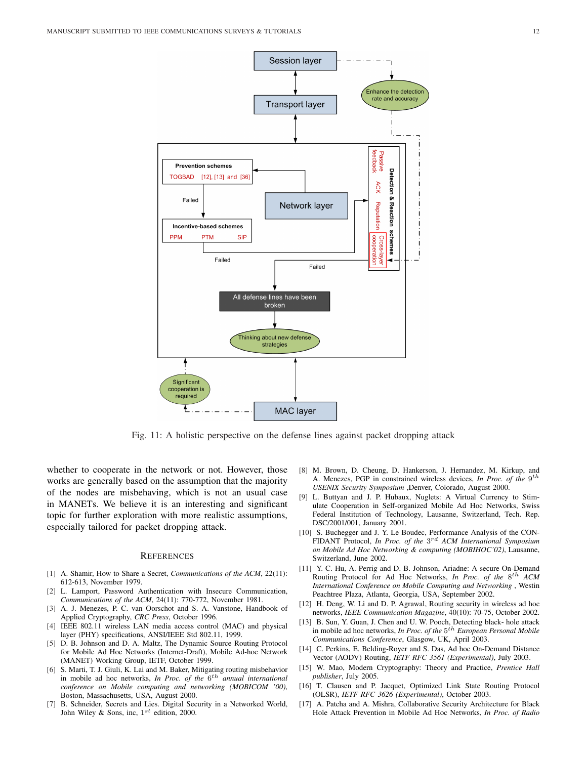

Fig. 11: A holistic perspective on the defense lines against packet dropping attack

whether to cooperate in the network or not. However, those works are generally based on the assumption that the majority of the nodes are misbehaving, which is not an usual case in MANETs. We believe it is an interesting and significant topic for further exploration with more realistic assumptions, especially tailored for packet dropping attack.

#### REFERENCES

- [1] A. Shamir, How to Share a Secret, *Communications of the ACM*, 22(11): 612-613, November 1979.
- [2] L. Lamport, Password Authentication with Insecure Communication, *Communications of the ACM*, 24(11): 770-772, November 1981.
- [3] A. J. Menezes, P. C. van Oorschot and S. A. Vanstone, Handbook of Applied Cryptography, *CRC Press*, October 1996.
- [4] IEEE 802.11 wireless LAN media access control (MAC) and physical layer (PHY) specifications, ANSI/IEEE Std 802.11, 1999.
- [5] D. B. Johnson and D. A. Maltz, The Dynamic Source Routing Protocol for Mobile Ad Hoc Networks (Internet-Draft), Mobile Ad-hoc Network (MANET) Working Group, IETF, October 1999.
- [6] S. Marti, T. J. Giuli, K. Lai and M. Baker, Mitigating routing misbehavior in mobile ad hoc networks, *In Proc. of the*  $6^{th}$  *annual international conference on Mobile computing and networking (MOBICOM '00)*, Boston, Massachusetts, USA, August 2000.
- [7] B. Schneider, Secrets and Lies. Digital Security in a Networked World, John Wiley & Sons, inc,  $1^{st}$  edition, 2000.
- [8] M. Brown, D. Cheung, D. Hankerson, J. Hernandez, M. Kirkup, and A. Menezes, PGP in constrained wireless devices, *In Proc. of the* 9<sup>th</sup> *USENIX Security Symposium* ,Denver, Colorado, August 2000.
- [9] L. Buttyan and J. P. Hubaux, Nuglets: A Virtual Currency to Stimulate Cooperation in Self-organized Mobile Ad Hoc Networks, Swiss Federal Institution of Technology, Lausanne, Switzerland, Tech. Rep. DSC/2001/001, January 2001.
- [10] S. Buchegger and J. Y. Le Boudec, Performance Analysis of the CON-FIDANT Protocol, *In Proc. of the* 3<sup>rd</sup> ACM International Symposium *on Mobile Ad Hoc Networking & computing (MOBIHOC'02)*, Lausanne, Switzerland, June 2002.
- [11] Y. C. Hu, A. Perrig and D. B. Johnson, Ariadne: A secure On-Demand Routing Protocol for Ad Hoc Networks, *In Proc. of the* 8<sup>th</sup> ACM *International Conference on Mobile Computing and Networking* , Westin Peachtree Plaza, Atlanta, Georgia, USA, September 2002.
- [12] H. Deng, W. Li and D. P. Agrawal, Routing security in wireless ad hoc networks, *IEEE Communication Magazine*, 40(10): 70-75, October 2002.
- [13] B. Sun, Y. Guan, J. Chen and U. W. Pooch, Detecting black- hole attack in mobile ad hoc networks, *In Proc. of the* 5 th *European Personal Mobile Communications Conference*, Glasgow, UK, April 2003.
- [14] C. Perkins, E. Belding-Royer and S. Das, Ad hoc On-Demand Distance Vector (AODV) Routing, *IETF RFC 3561 (Experimental)*, July 2003.
- [15] W. Mao, Modern Cryptography: Theory and Practice, *Prentice Hall publisher*, July 2005.
- [16] T. Clausen and P. Jacquet, Optimized Link State Routing Protocol (OLSR), *IETF RFC 3626 (Experimental)*, October 2003.
- [17] A. Patcha and A. Mishra, Collaborative Security Architecture for Black Hole Attack Prevention in Mobile Ad Hoc Networks, *In Proc. of Radio*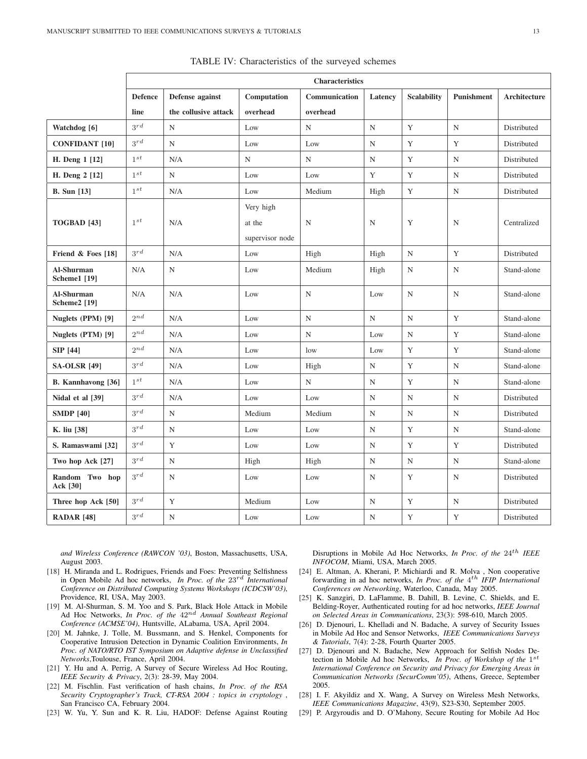|                                          | <b>Characteristics</b> |                      |                 |               |             |                    |                   |                     |
|------------------------------------------|------------------------|----------------------|-----------------|---------------|-------------|--------------------|-------------------|---------------------|
|                                          | <b>Defence</b>         | Defense against      | Computation     | Communication | Latency     | <b>Scalability</b> | <b>Punishment</b> | <b>Architecture</b> |
|                                          | line                   | the collusive attack | overhead        | overhead      |             |                    |                   |                     |
| Watchdog [6]                             | 3rd                    | $\mathbf N$          | Low             | $\mathbf N$   | $\mathbf N$ | $\mathbf Y$        | $\mathbf N$       | Distributed         |
| <b>CONFIDANT</b> [10]                    | 3rd                    | $\mathbf N$          | Low             | Low           | $\mathbf N$ | Y                  | Y                 | Distributed         |
| H. Deng 1 [12]                           | $1^{st}$               | N/A                  | N               | $\mathbf N$   | $\mathbf N$ | Y                  | $\mathbf N$       | Distributed         |
| H. Deng 2 [12]                           | $1^{st}$               | $\mathbf N$          | Low             | Low           | Y           | Y                  | N                 | Distributed         |
| <b>B.</b> Sun [13]                       | $1^{st}$               | N/A                  | Low             | Medium        | High        | Y                  | N                 | Distributed         |
|                                          |                        |                      | Very high       |               |             |                    |                   |                     |
| TOGBAD <sup>[43]</sup>                   | $1^{st}$               | N/A                  | at the          | N             | N           | Y                  | N                 | Centralized         |
|                                          |                        |                      | supervisor node |               |             |                    |                   |                     |
| Friend & Foes [18]                       | $3^{rd}$               | N/A                  | Low             | High          | High        | N                  | Y                 | Distributed         |
| Al-Shurman<br><b>Scheme1</b> [19]        | N/A                    | $\mathbf N$          | Low             | Medium        | High        | N                  | $_{\rm N}$        | Stand-alone         |
| <b>Al-Shurman</b><br><b>Scheme2</b> [19] | N/A                    | N/A                  | Low             | $\mathbf N$   | Low         | N                  | $\mathbf N$       | Stand-alone         |
| Nuglets (PPM) [9]                        | $2^{nd}$               | N/A                  | Low             | $\mathbf N$   | $\mathbf N$ | N                  | Y                 | Stand-alone         |
| Nuglets (PTM) [9]                        | $2^{nd}$               | N/A                  | Low             | $\mathbf N$   | Low         | N                  | Y                 | Stand-alone         |
| <b>SIP</b> [44]                          | 2nd                    | N/A                  | Low             | low           | Low         | Y                  | Y                 | Stand-alone         |
| <b>SA-OLSR [49]</b>                      | $3^{rd}$               | N/A                  | Low             | High          | $\mathbf N$ | Y                  | $\mathbf N$       | Stand-alone         |
| <b>B.</b> Kannhavong [36]                | $1^{st}$               | N/A                  | Low             | $\mathbf N$   | $\mathbf N$ | Y                  | N                 | Stand-alone         |
| Nidal et al [39]                         | 3rd                    | N/A                  | Low             | Low           | N           | N                  | N                 | Distributed         |
| <b>SMDP</b> [40]                         | $3^{rd}$               | N                    | Medium          | Medium        | N           | N                  | N                 | Distributed         |
| K. liu [38]                              | $3^{rd}$               | $\mathbf N$          | Low             | Low           | $\mathbf N$ | Y                  | N                 | Stand-alone         |
| S. Ramaswami [32]                        | $3^{rd}$               | Y                    | Low             | Low           | N           | Y                  | Y                 | Distributed         |
| Two hop Ack [27]                         | $3^{rd}$               | $\mathbf N$          | High            | High          | $\mathbf N$ | N                  | $_{\rm N}$        | Stand-alone         |
| Random Two hop<br>Ack [30]               | $3^{rd}$               | $\mathbf N$          | Low             | Low           | $\mathbf N$ | Y                  | $_{\rm N}$        | Distributed         |
| Three hop Ack [50]                       | $3^{rd}$               | Y                    | Medium          | Low           | $\mathbf N$ | $\mathbf Y$        | $\mathbf N$       | Distributed         |
| <b>RADAR</b> [48]                        | $3^{rd}$               | $\mathbf N$          | Low             | Low           | $\mathbf N$ | Y                  | Y                 | Distributed         |

TABLE IV: Characteristics of the surveyed schemes

*and Wireless Conference (RAWCON '03)*, Boston, Massachusetts, USA, August 2003.

- [18] H. Miranda and L. Rodrigues, Friends and Foes: Preventing Selfishness in Open Mobile Ad hoc networks, *In Proc. of the* 23rd *International Conference on Distributed Computing Systems Workshops (ICDCSW'03)*, Providence, RI, USA, May 2003.
- [19] M. Al-Shurman, S. M. Yoo and S. Park, Black Hole Attack in Mobile Ad Hoc Networks, *In Proc. of the* 42nd *Annual Southeast Regional Conference (ACMSE'04)*, Huntsville, ALabama, USA, April 2004.
- [20] M. Jahnke, J. Tolle, M. Bussmann, and S. Henkel, Components for Cooperative Intrusion Detection in Dynamic Coalition Environments, *In Proc. of NATO/RTO IST Symposium on Adaptive defense in Unclassified Networks*,Toulouse, France, April 2004.
- [21] Y. Hu and A. Perrig, A Survey of Secure Wireless Ad Hoc Routing, *IEEE Security & Privacy*, 2(3): 28-39, May 2004.
- [22] M. Fischlin. Fast verification of hash chains, *In Proc. of the RSA Security Cryptographer's Track, CT-RSA 2004 : topics in cryptology* , San Francisco CA, February 2004.
- [23] W. Yu, Y. Sun and K. R. Liu, HADOF: Defense Against Routing

Disruptions in Mobile Ad Hoc Networks, *In Proc. of the* 24th *IEEE INFOCOM*, Miami, USA, March 2005.

- [24] E. Altman, A. Kherani, P. Michiardi and R. Molva , Non cooperative forwarding in ad hoc networks, *In Proc. of the* 4<sup>th</sup> IFIP International *Conferences on Networking*, Waterloo, Canada, May 2005.
- [25] K. Sanzgiri, D. LaFlamme, B. Dahill, B. Levine, C. Shields, and E. Belding-Royer, Authenticated routing for ad hoc networks, *IEEE Journal on Selected Areas in Communications*, 23(3): 598-610, March 2005.
- [26] D. Djenouri, L. Khelladi and N. Badache, A survey of Security Issues in Mobile Ad Hoc and Sensor Networks, *IEEE Communications Surveys & Tutorials*, 7(4): 2-28, Fourth Quarter 2005.
- [27] D. Djenouri and N. Badache, New Approach for Selfish Nodes Detection in Mobile Ad hoc Networks, *In Proc. of Workshop of the* 1<sup>st</sup> *International Conference on Security and Privacy for Emerging Areas in Communication Networks (SecurComm'05)*, Athens, Greece, September 2005.
- [28] I. F. Akyildiz and X. Wang, A Survey on Wireless Mesh Networks, *IEEE Communications Magazine*, 43(9), S23-S30, September 2005.
- [29] P. Argyroudis and D. O'Mahony, Secure Routing for Mobile Ad Hoc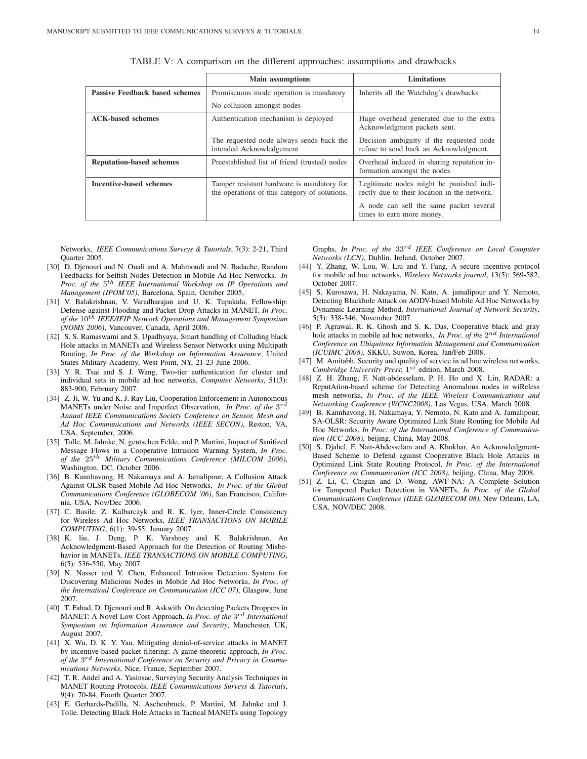|                                       | <b>Main assumptions</b>                                                                     | <b>Limitations</b>                                                                       |  |  |
|---------------------------------------|---------------------------------------------------------------------------------------------|------------------------------------------------------------------------------------------|--|--|
| <b>Passive Feedback based schemes</b> | Promiscuous mode operation is mandatory                                                     | Inherits all the Watchdog's drawbacks                                                    |  |  |
|                                       | No collusion amongst nodes                                                                  |                                                                                          |  |  |
| <b>ACK-based schemes</b>              | Authentication mechanism is deployed                                                        | Huge overhead generated due to the extra<br>Acknowledgment packets sent.                 |  |  |
|                                       | The requested node always sends back the<br>intended Acknowledgement                        | Decision ambiguity if the requested node<br>refuse to send back an Acknowledgment.       |  |  |
| <b>Reputation-based schemes</b>       | Preestablished list of friend (trusted) nodes                                               | Overhead induced in sharing reputation in-<br>formation amongst the nodes                |  |  |
| <b>Incentive-based schemes</b>        | Tamper resistant hardware is mandatory for<br>the operations of this category of solutions. | Legitimate nodes might be punished indi-<br>rectly due to their location in the network. |  |  |
|                                       |                                                                                             | A node can sell the same packet several<br>times to earn more money.                     |  |  |

TABLE V: A comparison on the different approaches: assumptions and drawbacks

Networks, *IEEE Communications Surveys & Tutorials*, 7(3): 2-21, Third Quarter 2005.

- [30] D. Djenouri and N. Ouali and A. Mahmoudi and N. Badache, Random Feedbacks for Selfish Nodes Detection in Mobile Ad Hoc Networks, *In* Proc. of the  $5^{th}$  *IEEE International Workshop on IP Operations and Management (IPOM'05)*, Barcelona, Spain, October 2005,
- [31] V. Balakrishnan, V. Varadharajan and U. K. Tupakula, Fellowship: Defense against Flooding and Packet Drop Attacks in MANET, *In Proc. of the* 10th *IEEE/IFIP Network Operations and Management Symposium (NOMS 2006)*, Vancouver, Canada, April 2006.
- [32] S. S. Ramaswami and S. Upadhyaya, Smart handling of Colluding black Hole attacks in MANETs and Wireless Sensor Networks using Multipath Routing, *In Proc. of the Workshop on Information Assurance*, United States Military Academy, West Point, NY, 21-23 June 2006.
- [33] Y. R. Tsai and S. J. Wang, Two-tier authentication for cluster and individual sets in mobile ad hoc networks, *Computer Networks*, 51(3): 883-900, February 2007.
- [34] Z. Ji, W. Yu and K. J. Ray Liu, Cooperation Enforcement in Autonomous MANETs under Noise and Imperfect Observation, *In Proc. of the* 3<sup>rd</sup> *Annual IEEE Communications Society Conference on Sensor, Mesh and Ad Hoc Communications and Networks (IEEE SECON)*, Reston, VA, USA, September, 2006.
- [35] Tolle, M. Jahnke, N. gentschen Felde, and P. Martini, Impact of Sanitized Message Flows in a Cooperative Intrusion Warning System, *In Proc. of the* 25th *Military Communications Conference (MILCOM 2006)*, Washington, DC, October 2006.
- [36] B. Kannhavong, H. Nakamaya and A. Jamalipour, A Collusion Attack Against OLSR-based Mobile Ad Hoc Networks, *In Proc. of the Global Communications Conference (GLOBECOM '06)*, San Francisco, California, USA, Nov/Dec 2006.
- [37] C. Basile, Z. Kalbarczyk and R. K. lyer, Inner-Circle Consistency for Wireless Ad Hoc Networks, *IEEE TRANSACTIONS ON MOBILE COMPUTING*, 6(1): 39-55, January 2007.
- [38] K. liu, J. Deng, P. K. Varshney and K. Balakrishnan, An Acknowledgment-Based Approach for the Detection of Routing Misbehavior in MANETs, *IEEE TRANSACTIONS ON MOBILE COMPUTING*, 6(5): 536-550, May 2007.
- [39] N. Nasser and Y. Chen, Enhanced Intrusion Detection System for Discovering Malicious Nodes in Mobile Ad Hoc Networks, *In Proc. of the Internationl Conference on Communication (ICC 07)*, Glasgow, June 2007.
- [40] T. Fahad, D. Djenouri and R. Askwith. On detecting Packets Droppers in MANET: A Novel Low Cost Approach, *In Proc. of the* 3<sup>rd</sup> International *Symposium on Information Assurance and Security*, Manchester, UK, August 2007.
- [41] X. Wu, D. K. Y. Yau, Mitigating denial-of-service attacks in MANET by incentive-based packet filtering: A game-theoretic approach, *In Proc. of the* 3 rd *International Conference on Security and Privacy in Communications Networks*, Nice, France, September 2007.
- [42] T. R. Andel and A. Yasinsac, Surveying Security Analysis Techniques in MANET Routing Protocols, *IEEE Communications Surveys & Tutorials*, 9(4): 70-84, Fourth Quarter 2007.
- [43] E. Gerhards-Padilla, N. Aschenbruck, P. Martini, M. Jahnke and J. Tolle. Detecting Black Hole Attacks in Tactical MANETs using Topology

Graphs, *In Proc. of the* 33rd *IEEE Conference on Local Computer Networks (LCN)*, Dublin, Ireland, October 2007.

- [44] Y. Zhang, W. Lou, W. Liu and Y. Fang, A secure incentive protocol for mobile ad hoc networks, *Wireless Networks journal*, 13(5): 569-582, October 2007.
- [45] S. Kurosawa, H. Nakayama, N. Kato, A. jamalipour and Y. Nemoto, Detecting Blackhole Attack on AODV-based Mobile Ad Hoc Networks by Dynamuic Learning Method, *International Journal of Network Security*, 5(3): 338-346, November 2007.
- [46] P. Agrawal, R. K. Ghosh and S. K. Das, Cooperative black and gray hole attacks in mobile ad hoc networks, *In Proc. of the*  $2^{nd}$  *International Conference on Ubiquitous Information Management and Communication (ICUIMC 2008)*, SKKU, Suwon, Korea, Jan/Feb 2008.
- [47] M. Amitabh, Security and quality of service in ad hoc wireless networks, Cambridge University Press; 1st edition, March 2008.
- [48] Z. H. Zhang, F. Naït-abdesselam, P. H. Ho and X. Lin, RADAR: a ReputAtion-based scheme for Detecting Anomalous nodes in wiReless mesh networks, *In Proc. of the IEEE Wireless Communications and Networking Conference (WCNC2008)*, Las Vegas, USA, March 2008.
- [49] B. Kannhavong, H. Nakamaya, Y. Nemoto, N. Kato and A. Jamalipour, SA-OLSR: Security Aware Optimized Link State Routing for Mobile Ad Hoc Networks, *In Proc. of the International Conference of Communication (ICC 2008)*, beijing, China, May 2008.
- [50] S. Djahel, F. Naït-Abdesselam and A. Khokhar, An Acknowledgment-Based Scheme to Defend against Cooperative Black Hole Attacks in Optimized Link State Routing Protocol, *In Proc. of the International Conference on Communication (ICC 2008)*, beijing, China, May 2008.
- [51] Z. Li, C. Chigan and D. Wong, AWF-NA: A Complete Solution for Tampered Packet Detection in VANETs, *In Proc. of the Global Communications Conference (IEEE GLOBECOM 08)*, New Orleans, LA, USA, NOV/DEC 2008.